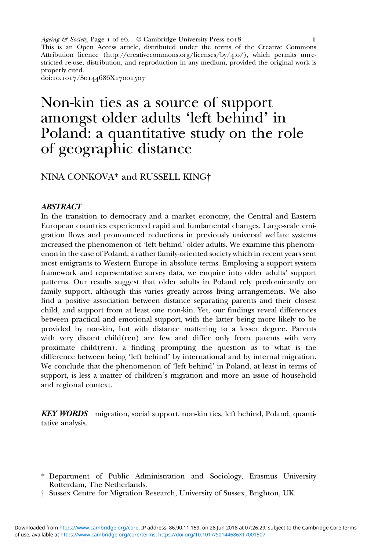Ageing  $\mathcal{E}$  Society, Page 1 of 26.  $\circledcirc$  Cambridge University Press 2018 This is an Open Access article, distributed under the terms of the Creative Commons Attribution licence (http://creativecommons.org/licenses/by/4.0/), which permits unrestricted re-use, distribution, and reproduction in any medium, provided the original work is properly cited.  $\mathbf{I}$ 

doi:10.1017/S0144686X17001507

# Non-kin ties as a source of support amongst older adults 'left behind' in Poland: a quantitative study on the role of geographic distance

# NINA CONKOVA\* and RUSSELL KING†

## **ABSTRACT**

In the transition to democracy and a market economy, the Central and Eastern European countries experienced rapid and fundamental changes. Large-scale emigration flows and pronounced reductions in previously universal welfare systems increased the phenomenon of 'left behind' older adults. We examine this phenomenon in the case of Poland, a rather family-oriented society which in recent years sent most emigrants to Western Europe in absolute terms. Employing a support system framework and representative survey data, we enquire into older adults' support patterns. Our results suggest that older adults in Poland rely predominantly on family support, although this varies greatly across living arrangements. We also find a positive association between distance separating parents and their closest child, and support from at least one non-kin. Yet, our findings reveal differences between practical and emotional support, with the latter being more likely to be provided by non-kin, but with distance mattering to a lesser degree. Parents with very distant child(ren) are few and differ only from parents with very proximate child(ren), a finding prompting the question as to what is the difference between being 'left behind' by international and by internal migration. We conclude that the phenomenon of 'left behind' in Poland, at least in terms of support, is less a matter of children's migration and more an issue of household and regional context.

KEY WORDS – migration, social support, non-kin ties, left behind, Poland, quantitative analysis.

- \* Department of Public Administration and Sociology, Erasmus University Rotterdam, The Netherlands.
- † Sussex Centre for Migration Research, University of Sussex, Brighton, UK.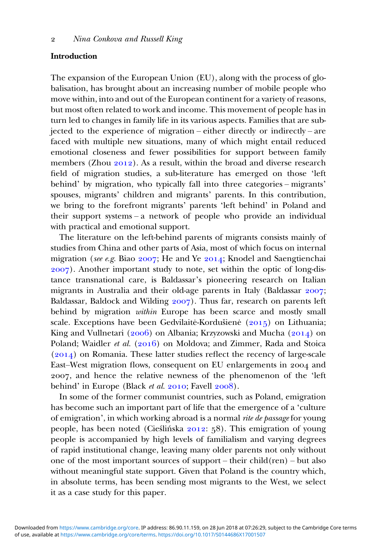# Introduction

The expansion of the European Union (EU), along with the process of globalisation, has brought about an increasing number of mobile people who move within, into and out of the European continent for a variety of reasons, but most often related to work and income. This movement of people has in turn led to changes in family life in its various aspects. Families that are subjected to the experience of migration – either directly or indirectly – are faced with multiple new situations, many of which might entail reduced emotional closeness and fewer possibilities for support between family members (Zhou  $2012$ ). As a result, within the broad and diverse research field of migration studies, a sub-literature has emerged on those 'left behind' by migration, who typically fall into three categories – migrants' spouses, migrants' children and migrants' parents. In this contribution, we bring to the forefront migrants' parents 'left behind' in Poland and their support systems – a network of people who provide an individual with practical and emotional support.

The literature on the left-behind parents of migrants consists mainly of studies from China and other parts of Asia, most of which focus on internal migration (see e.g. Biao  $2007$ ; He and Ye  $2014$ ; Knodel and Saengtienchai ). Another important study to note, set within the optic of long-distance transnational care, is Baldassar's pioneering research on Italian migrants in Australia and their old-age parents in Italy (Baldassar  $2007$ ; Baldassar, Baldock and Wilding  $2007$ ). Thus far, research on parents left behind by migration within Europe has been scarce and mostly small scale. Exceptions have been Gedvilaitė-Kordušienė (2015) on Lithuania; King and Vullnetari (2006) on Albania; Krzyzowski and Mucha (2014) on Poland; Waidler et al. (2016) on Moldova; and Zimmer, Rada and Stoica  $(2014)$  on Romania. These latter studies reflect the recency of large-scale East-West migration flows, consequent on EU enlargements in 2004 and , and hence the relative newness of the phenomenon of the 'left behind' in Europe (Black et al.  $2010$ ; Favell  $2008$ ).

In some of the former communist countries, such as Poland, emigration has become such an important part of life that the emergence of a 'culture of emigration', in which working abroad is a normal rite de passage for young people, has been noted (Cieslinska  $2012$ :  $58$ ). This emigration of young people is accompanied by high levels of familialism and varying degrees of rapid institutional change, leaving many older parents not only without one of the most important sources of support – their child(ren) – but also without meaningful state support. Given that Poland is the country which, in absolute terms, has been sending most migrants to the West, we select it as a case study for this paper.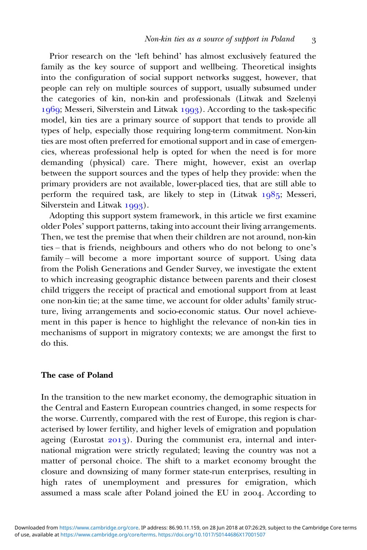Prior research on the 'left behind' has almost exclusively featured the family as the key source of support and wellbeing. Theoretical insights into the configuration of social support networks suggest, however, that people can rely on multiple sources of support, usually subsumed under the categories of kin, non-kin and professionals (Litwak and Szelenyi  $1969$ ; Messeri, Silverstein and Litwak  $1993$ ). According to the task-specific model, kin ties are a primary source of support that tends to provide all types of help, especially those requiring long-term commitment. Non-kin ties are most often preferred for emotional support and in case of emergencies, whereas professional help is opted for when the need is for more demanding (physical) care. There might, however, exist an overlap between the support sources and the types of help they provide: when the primary providers are not available, lower-placed ties, that are still able to perform the required task, are likely to step in (Litwak  $1985$ ; Messeri, Silverstein and Litwak  $1993$ .

Adopting this support system framework, in this article we first examine older Poles' support patterns, taking into account their living arrangements. Then, we test the premise that when their children are not around, non-kin ties – that is friends, neighbours and others who do not belong to one's family – will become a more important source of support. Using data from the Polish Generations and Gender Survey, we investigate the extent to which increasing geographic distance between parents and their closest child triggers the receipt of practical and emotional support from at least one non-kin tie; at the same time, we account for older adults' family structure, living arrangements and socio-economic status. Our novel achievement in this paper is hence to highlight the relevance of non-kin ties in mechanisms of support in migratory contexts; we are amongst the first to do this.

#### The case of Poland

In the transition to the new market economy, the demographic situation in the Central and Eastern European countries changed, in some respects for the worse. Currently, compared with the rest of Europe, this region is characterised by lower fertility, and higher levels of emigration and population ageing (Eurostat  $2013$ ). During the communist era, internal and international migration were strictly regulated; leaving the country was not a matter of personal choice. The shift to a market economy brought the closure and downsizing of many former state-run enterprises, resulting in high rates of unemployment and pressures for emigration, which assumed a mass scale after Poland joined the EU in 2004. According to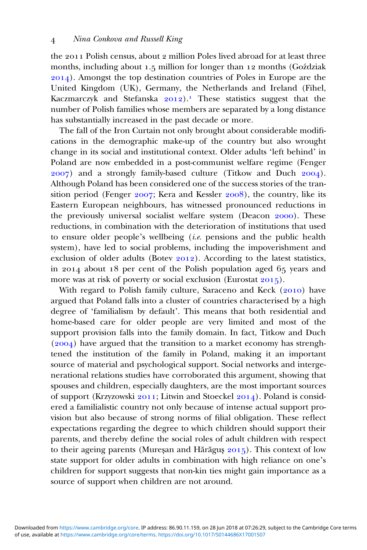the 2011 Polish census, about 2 million Poles lived abroad for at least three months, including about  $1.5$  million for longer than  $12$  months (Gozdziak ). Amongst the top destination countries of Poles in Europe are the United Kingdom (UK), Germany, the Netherlands and Ireland (Fihel, Kaczmarczyk and Stefanska  $2012$ ).<sup>1</sup> These statistics suggest that the number of Polish families whose members are separated by a long distance has substantially increased in the past decade or more.

The fall of the Iron Curtain not only brought about considerable modifications in the demographic make-up of the country but also wrought change in its social and institutional context. Older adults 'left behind' in Poland are now embedded in a post-communist welfare regime (Fenger  $(2007)$  and a strongly family-based culture (Titkow and Duch  $(2004)$ . Although Poland has been considered one of the success stories of the transition period (Fenger  $2007$ ; Kera and Kessler  $2008$ ), the country, like its Eastern European neighbours, has witnessed pronounced reductions in the previously universal socialist welfare system (Deacon 2000). These reductions, in combination with the deterioration of institutions that used to ensure older people's wellbeing (i.e. pensions and the public health system), have led to social problems, including the impoverishment and exclusion of older adults (Botev  $2012$ ). According to the latest statistics, in  $2014$  about 18 per cent of the Polish population aged  $65$  years and more was at risk of poverty or social exclusion (Eurostat  $2015$ ).

With regard to Polish family culture, Saraceno and Keck  $(2010)$  have argued that Poland falls into a cluster of countries characterised by a high degree of 'familialism by default'. This means that both residential and home-based care for older people are very limited and most of the support provision falls into the family domain. In fact, Titkow and Duch  $(2004)$  have argued that the transition to a market economy has strenghtened the institution of the family in Poland, making it an important source of material and psychological support. Social networks and intergenerational relations studies have corroborated this argument, showing that spouses and children, especially daughters, are the most important sources of support (Krzyzowski 2011; Litwin and Stoeckel 2014). Poland is considered a familialistic country not only because of intense actual support provision but also because of strong norms of filial obligation. These reflect expectations regarding the degree to which children should support their parents, and thereby define the social roles of adult children with respect to their ageing parents (Muresan and Hărăgus  $2015$ ). This context of low state support for older adults in combination with high reliance on one's children for support suggests that non-kin ties might gain importance as a source of support when children are not around.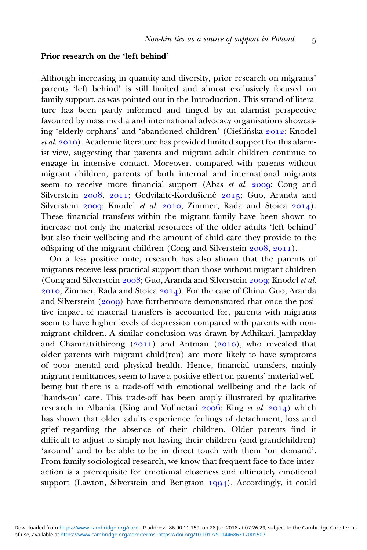### Prior research on the 'left behind'

Although increasing in quantity and diversity, prior research on migrants' parents 'left behind' is still limited and almost exclusively focused on family support, as was pointed out in the Introduction. This strand of literature has been partly informed and tinged by an alarmist perspective favoured by mass media and international advocacy organisations showcasing 'elderly orphans' and 'abandoned children' (Cieślińska 2012; Knodel  $et al.$  2010). Academic literature has provided limited support for this alarmist view, suggesting that parents and migrant adult children continue to engage in intensive contact. Moreover, compared with parents without migrant children, parents of both internal and international migrants seem to receive more financial support (Abas *et al.*  $2009$ ; Cong and Silverstein 2008, 2011; Gedvilaitė-Kordušiene 2015; Guo, Aranda and Silverstein  $2009$ ; Knodel *et al.*  $2010$ ; Zimmer, Rada and Stoica  $2014$ ). These financial transfers within the migrant family have been shown to increase not only the material resources of the older adults 'left behind' but also their wellbeing and the amount of child care they provide to the offspring of the migrant children (Cong and Silverstein  $2008$ ,  $2011$ ).

On a less positive note, research has also shown that the parents of migrants receive less practical support than those without migrant children (Cong and Silverstein 2008; Guo, Aranda and Silverstein 2009; Knodel et al.  $2010$ ; Zimmer, Rada and Stoica  $2014$ ). For the case of China, Guo, Aranda and Silverstein  $(2009)$  have furthermore demonstrated that once the positive impact of material transfers is accounted for, parents with migrants seem to have higher levels of depression compared with parents with nonmigrant children. A similar conclusion was drawn by Adhikari, Jampaklay and Chamratrithirong  $(2011)$  and Antman  $(2010)$ , who revealed that older parents with migrant child(ren) are more likely to have symptoms of poor mental and physical health. Hence, financial transfers, mainly migrant remittances, seem to have a positive effect on parents' material wellbeing but there is a trade-off with emotional wellbeing and the lack of 'hands-on' care. This trade-off has been amply illustrated by qualitative research in Albania (King and Vullnetari  $2006$ ; King *et al.*  $2014$ ) which has shown that older adults experience feelings of detachment, loss and grief regarding the absence of their children. Older parents find it difficult to adjust to simply not having their children (and grandchildren) 'around' and to be able to be in direct touch with them 'on demand'. From family sociological research, we know that frequent face-to-face interaction is a prerequisite for emotional closeness and ultimately emotional support (Lawton, Silverstein and Bengtson  $1994$ ). Accordingly, it could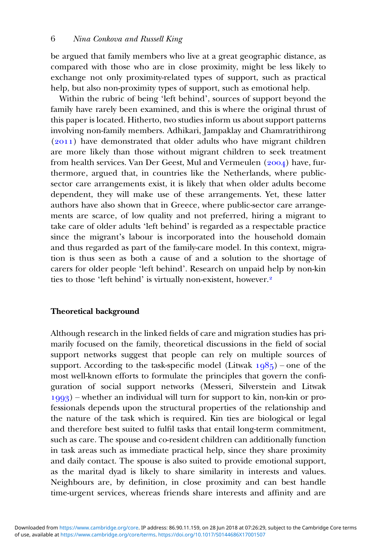be argued that family members who live at a great geographic distance, as compared with those who are in close proximity, might be less likely to exchange not only proximity-related types of support, such as practical help, but also non-proximity types of support, such as emotional help.

Within the rubric of being 'left behind', sources of support beyond the family have rarely been examined, and this is where the original thrust of this paper is located. Hitherto, two studies inform us about support patterns involving non-family members. Adhikari, Jampaklay and Chamratrithirong  $(2011)$  have demonstrated that older adults who have migrant children are more likely than those without migrant children to seek treatment from health services. Van Der Geest, Mul and Vermeulen  $(2004)$  have, furthermore, argued that, in countries like the Netherlands, where publicsector care arrangements exist, it is likely that when older adults become dependent, they will make use of these arrangements. Yet, these latter authors have also shown that in Greece, where public-sector care arrangements are scarce, of low quality and not preferred, hiring a migrant to take care of older adults 'left behind' is regarded as a respectable practice since the migrant's labour is incorporated into the household domain and thus regarded as part of the family-care model. In this context, migration is thus seen as both a cause of and a solution to the shortage of carers for older people 'left behind'. Research on unpaid help by non-kin ties to those 'left behind' is virtually non-existent, however.

#### Theoretical background

Although research in the linked fields of care and migration studies has primarily focused on the family, theoretical discussions in the field of social support networks suggest that people can rely on multiple sources of support. According to the task-specific model (Litwak  $1085$ ) – one of the most well-known efforts to formulate the principles that govern the configuration of social support networks (Messeri, Silverstein and Litwak ) – whether an individual will turn for support to kin, non-kin or professionals depends upon the structural properties of the relationship and the nature of the task which is required. Kin ties are biological or legal and therefore best suited to fulfil tasks that entail long-term commitment, such as care. The spouse and co-resident children can additionally function in task areas such as immediate practical help, since they share proximity and daily contact. The spouse is also suited to provide emotional support, as the marital dyad is likely to share similarity in interests and values. Neighbours are, by definition, in close proximity and can best handle time-urgent services, whereas friends share interests and affinity and are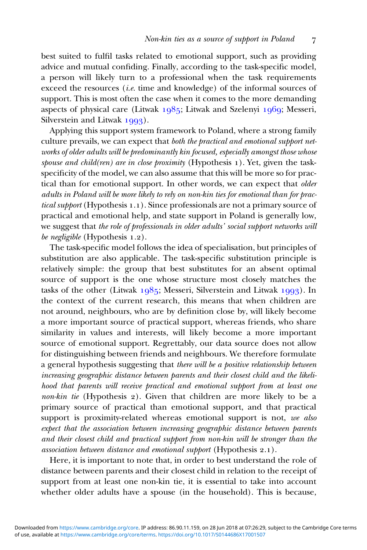best suited to fulfil tasks related to emotional support, such as providing advice and mutual confiding. Finally, according to the task-specific model, a person will likely turn to a professional when the task requirements exceed the resources (i.e. time and knowledge) of the informal sources of support. This is most often the case when it comes to the more demanding aspects of physical care (Litwak  $1985$ ; Litwak and Szelenyi  $1969$ ; Messeri, Silverstein and Litwak  $1993$ .

Applying this support system framework to Poland, where a strong family culture prevails, we can expect that both the practical and emotional support networks of older adults will be predominantly kin focused, especially amongst those whose spouse and child(ren) are in close proximity (Hypothesis 1). Yet, given the taskspecificity of the model, we can also assume that this will be more so for practical than for emotional support. In other words, we can expect that older adults in Poland will be more likely to rely on non-kin ties for emotional than for practical support (Hypothesis 1.1). Since professionals are not a primary source of practical and emotional help, and state support in Poland is generally low, we suggest that the role of professionals in older adults' social support networks will be negligible (Hypothesis  $1.2$ ).

The task-specific model follows the idea of specialisation, but principles of substitution are also applicable. The task-specific substitution principle is relatively simple: the group that best substitutes for an absent optimal source of support is the one whose structure most closely matches the tasks of the other (Litwak  $1985$ ; Messeri, Silverstein and Litwak  $1993$ ). In the context of the current research, this means that when children are not around, neighbours, who are by definition close by, will likely become a more important source of practical support, whereas friends, who share similarity in values and interests, will likely become a more important source of emotional support. Regrettably, our data source does not allow for distinguishing between friends and neighbours. We therefore formulate a general hypothesis suggesting that there will be a positive relationship between increasing geographic distance between parents and their closest child and the likelihood that parents will receive practical and emotional support from at least one non-kin tie (Hypothesis  $2$ ). Given that children are more likely to be a primary source of practical than emotional support, and that practical support is proximity-related whereas emotional support is not, we also expect that the association between increasing geographic distance between parents and their closest child and practical support from non-kin will be stronger than the association between distance and emotional support (Hypothesis  $2.1$ ).

Here, it is important to note that, in order to best understand the role of distance between parents and their closest child in relation to the receipt of support from at least one non-kin tie, it is essential to take into account whether older adults have a spouse (in the household). This is because,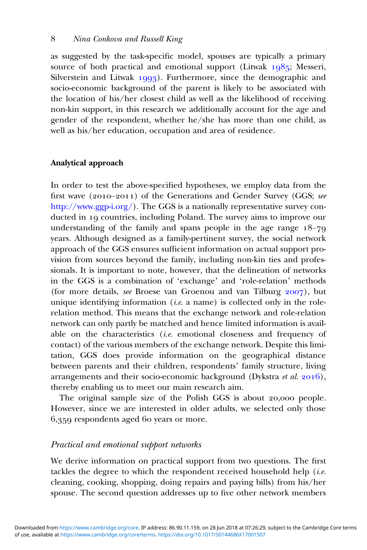as suggested by the task-specific model, spouses are typically a primary source of both practical and emotional support (Litwak  $1085$ ; Messeri, Silverstein and Litwak  $1993$ . Furthermore, since the demographic and socio-economic background of the parent is likely to be associated with the location of his/her closest child as well as the likelihood of receiving non-kin support, in this research we additionally account for the age and gender of the respondent, whether he/she has more than one child, as well as his/her education, occupation and area of residence.

## Analytical approach

In order to test the above-specified hypotheses, we employ data from the first wave  $(2010-2011)$  of the Generations and Gender Survey (GGS; see [http://www.ggp-i.org/\)](http://www.ggp-i.org/). The GGS is a nationally representative survey conducted in 19 countries, including Poland. The survey aims to improve our understanding of the family and spans people in the age range  $18-79$ years. Although designed as a family-pertinent survey, the social network approach of the GGS ensures sufficient information on actual support provision from sources beyond the family, including non-kin ties and professionals. It is important to note, however, that the delineation of networks in the GGS is a combination of 'exchange' and 'role-relation' methods (for more details, see Broese van Groenou and van Tilburg  $2007$ ), but unique identifying information (*i.e.* a name) is collected only in the rolerelation method. This means that the exchange network and role-relation network can only partly be matched and hence limited information is available on the characteristics (i.e. emotional closeness and frequency of contact) of the various members of the exchange network. Despite this limitation, GGS does provide information on the geographical distance between parents and their children, respondents' family structure, living arrangements and their socio-economic background (Dykstra  $et$   $al.$   $2016$ ), thereby enabling us to meet our main research aim.

The original sample size of the Polish GGS is about 20,000 people. However, since we are interested in older adults, we selected only those  $6,359$  respondents aged  $60$  years or more.

## Practical and emotional support networks

We derive information on practical support from two questions. The first tackles the degree to which the respondent received household help (i.e. cleaning, cooking, shopping, doing repairs and paying bills) from his/her spouse. The second question addresses up to five other network members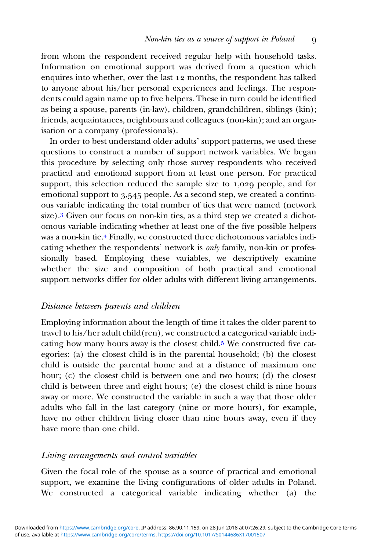from whom the respondent received regular help with household tasks. Information on emotional support was derived from a question which enquires into whether, over the last 12 months, the respondent has talked to anyone about his/her personal experiences and feelings. The respondents could again name up to five helpers. These in turn could be identified as being a spouse, parents (in-law), children, grandchildren, siblings (kin); friends, acquaintances, neighbours and colleagues (non-kin); and an organisation or a company (professionals).

In order to best understand older adults' support patterns, we used these questions to construct a number of support network variables. We began this procedure by selecting only those survey respondents who received practical and emotional support from at least one person. For practical support, this selection reduced the sample size to  $1,029$  people, and for emotional support to  $3,545$  people. As a second step, we created a continuous variable indicating the total number of ties that were named (network size).<sup>3</sup> Given our focus on non-kin ties, as a third step we created a dichotomous variable indicating whether at least one of the five possible helpers was a non-kin tie. Finally, we constructed three dichotomous variables indicating whether the respondents' network is only family, non-kin or professionally based. Employing these variables, we descriptively examine whether the size and composition of both practical and emotional support networks differ for older adults with different living arrangements.

## Distance between parents and children

Employing information about the length of time it takes the older parent to travel to his/her adult child(ren), we constructed a categorical variable indicating how many hours away is the closest child.<sup>5</sup> We constructed five categories: (a) the closest child is in the parental household; (b) the closest child is outside the parental home and at a distance of maximum one hour; (c) the closest child is between one and two hours; (d) the closest child is between three and eight hours; (e) the closest child is nine hours away or more. We constructed the variable in such a way that those older adults who fall in the last category (nine or more hours), for example, have no other children living closer than nine hours away, even if they have more than one child.

## Living arrangements and control variables

Given the focal role of the spouse as a source of practical and emotional support, we examine the living configurations of older adults in Poland. We constructed a categorical variable indicating whether (a) the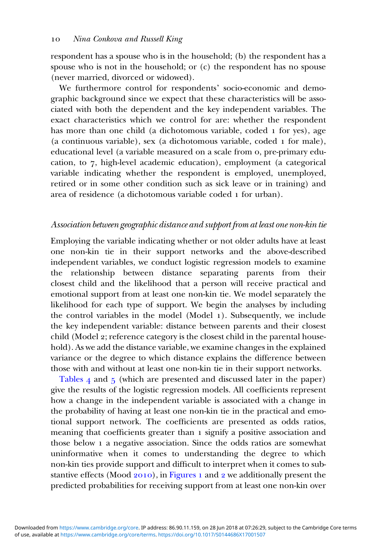respondent has a spouse who is in the household; (b) the respondent has a spouse who is not in the household; or (c) the respondent has no spouse (never married, divorced or widowed).

We furthermore control for respondents' socio-economic and demographic background since we expect that these characteristics will be associated with both the dependent and the key independent variables. The exact characteristics which we control for are: whether the respondent has more than one child (a dichotomous variable, coded 1 for yes), age (a continuous variable), sex (a dichotomous variable, coded  $\alpha$  for male), educational level (a variable measured on a scale from o, pre-primary education, to 7, high-level academic education), employment (a categorical variable indicating whether the respondent is employed, unemployed, retired or in some other condition such as sick leave or in training) and area of residence (a dichotomous variable coded 1 for urban).

## Association between geographic distance and support from at least one non-kin tie

Employing the variable indicating whether or not older adults have at least one non-kin tie in their support networks and the above-described independent variables, we conduct logistic regression models to examine the relationship between distance separating parents from their closest child and the likelihood that a person will receive practical and emotional support from at least one non-kin tie. We model separately the likelihood for each type of support. We begin the analyses by including the control variables in the model (Model 1). Subsequently, we include the key independent variable: distance between parents and their closest child (Model 2; reference category is the closest child in the parental household). As we add the distance variable, we examine changes in the explained variance or the degree to which distance explains the difference between those with and without at least one non-kin tie in their support networks.

[Tables](#page-15-0)  $4$  and  $5$  (which are presented and discussed later in the paper) give the results of the logistic regression models. All coefficients represent how a change in the independent variable is associated with a change in the probability of having at least one non-kin tie in the practical and emotional support network. The coefficients are presented as odds ratios, meaning that coefficients greater than 1 signify a positive association and those below 1 a negative association. Since the odds ratios are somewhat uninformative when it comes to understanding the degree to which non-kin ties provide support and difficult to interpret when it comes to substantive effects (Mood  $2010$ ), in [Figures](#page-10-0) 1 and  $2$  we additionally present the predicted probabilities for receiving support from at least one non-kin over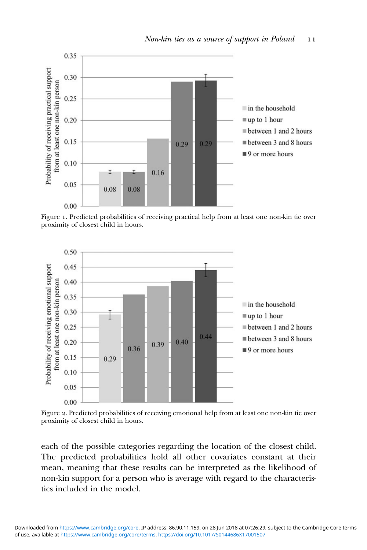<span id="page-10-0"></span>

Figure . Predicted probabilities of receiving practical help from at least one non-kin tie over proximity of closest child in hours.



Figure 2. Predicted probabilities of receiving emotional help from at least one non-kin tie over proximity of closest child in hours.

each of the possible categories regarding the location of the closest child. The predicted probabilities hold all other covariates constant at their mean, meaning that these results can be interpreted as the likelihood of non-kin support for a person who is average with regard to the characteristics included in the model.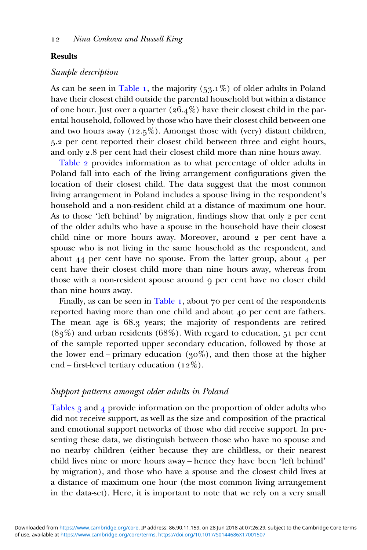## Results

## Sample description

As can be seen in [Table](#page-12-0) 1, the majority  $(53.1\%)$  of older adults in Poland have their closest child outside the parental household but within a distance of one hour. Just over a quarter  $(26.4\%)$  have their closest child in the parental household, followed by those who have their closest child between one and two hours away  $(12.5\%)$ . Amongst those with (very) distant children, 5.2 per cent reported their closest child between three and eight hours, and only 2.8 per cent had their closest child more than nine hours away.

[Table](#page-13-0) 2 provides information as to what percentage of older adults in Poland fall into each of the living arrangement configurations given the location of their closest child. The data suggest that the most common living arrangement in Poland includes a spouse living in the respondent's household and a non-resident child at a distance of maximum one hour. As to those 'left behind' by migration, findings show that only 2 per cent of the older adults who have a spouse in the household have their closest child nine or more hours away. Moreover, around 2 per cent have a spouse who is not living in the same household as the respondent, and about  $44$  per cent have no spouse. From the latter group, about  $4$  per cent have their closest child more than nine hours away, whereas from those with a non-resident spouse around 9 per cent have no closer child than nine hours away.

Finally, as can be seen in [Table](#page-12-0)  $_1$ , about  $_7$ o per cent of the respondents reported having more than one child and about 40 per cent are fathers. The mean age is  $68.3$  years; the majority of respondents are retired  $(8, 8\%)$  and urban residents  $(68\%)$ . With regard to education, 51 per cent of the sample reported upper secondary education, followed by those at the lower end – primary education  $(30\%)$ , and then those at the higher end – first-level tertiary education  $(12\%)$ .

#### Support patterns amongst older adults in Poland

[Tables](#page-14-0) 3 and 4 provide information on the proportion of older adults who did not receive support, as well as the size and composition of the practical and emotional support networks of those who did receive support. In presenting these data, we distinguish between those who have no spouse and no nearby children (either because they are childless, or their nearest child lives nine or more hours away – hence they have been 'left behind' by migration), and those who have a spouse and the closest child lives at a distance of maximum one hour (the most common living arrangement in the data-set). Here, it is important to note that we rely on a very small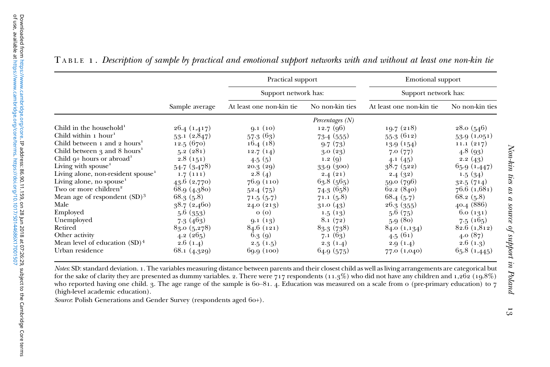|                                                        |                | Practical support        |                   | <b>Emotional support</b> |                 |  |  |
|--------------------------------------------------------|----------------|--------------------------|-------------------|--------------------------|-----------------|--|--|
|                                                        |                | Support network has:     |                   | Support network has:     |                 |  |  |
|                                                        | Sample average | At least one non-kin tie | No non-kin ties   | At least one non-kin tie | No non-kin ties |  |  |
|                                                        |                |                          | Percentages $(N)$ |                          |                 |  |  |
| Child in the household $^1$                            | 26.4(1,417)    | 9.1(10)                  | 12.7(96)          | 19.7(218)                | 28.0(546)       |  |  |
| Child within $1$ hour <sup>1</sup>                     | 53.1 $(2,847)$ | 57.3(63)                 | 73.4(555)         | 55.3(612)                | 53.9(1,051)     |  |  |
| Child between 1 and 2 hours <sup>1</sup>               | 12.5(670)      | 16.4(18)                 | 9.7(73)           | 13.9(154)                | 11.1 $(217)$    |  |  |
| Child between $\alpha$ and $\delta$ hours <sup>1</sup> | 5.2(281)       | 12.7(14)                 | 3.0(23)           | 7.0(77)                  | 4.8(93)         |  |  |
| Child $q+$ hours or abroad <sup>1</sup>                | 2.8(151)       | 4.5(5)                   | 1.2 $(9)$         | 4.1(45)                  | 2.2(43)         |  |  |
| Living with spouse $1$                                 | 54.7(3.478)    | 20.3(29)                 | 33.9(300)         | 38.7(522)                | 65.9(1,447)     |  |  |
| Living alone, non-resident spouse <sup>1</sup>         | 1.7(111)       | 2.8(4)                   | 2.4(21)           | 2.4(32)                  | 1.5(34)         |  |  |
| Living alone, no spouse                                | 43.6(2,770)    | 76.9(110)                | 63.8(565)         | 59.0(796)                | 32.5(714)       |  |  |
| Two or more children <sup>2</sup>                      | 68.9(4.380)    | 52.4(75)                 | 74.3(658)         | 62.2(840)                | 76.6(1,681)     |  |  |
| Mean age of respondent $(SD)^3$                        | 68.3(5.8)      | 71.5(5.7)                | 71.1 (5.8)        | 68.4(5.7)                | 68.2 $(5.8)$    |  |  |
| Male                                                   | 38.7(2,460)    | 24.0 (213)               | 31.0(43)          | 26.3(355)                | 40.4(886)       |  |  |
| Employed                                               | 5.6(353)       | $o$ (o)                  | 1.5(13)           | 5.6(75)                  | 6.0(131)        |  |  |
| Unemployed                                             | 7.3(463)       | 9.1(13)                  | 8.1(72)           | 5.9(80)                  | 7.5(165)        |  |  |
| Retired                                                | 83.0(5,278)    | 84.6(121)                | 83.3 (738)        | 84.0(1,134)              | 82.6(1,812)     |  |  |
| Other activity                                         | 4.2(265)       | 6.3 $(9)$                | 7.1(63)           | 4.5(61)                  | 4.0(87)         |  |  |
| Mean level of education $(SD)^4$                       | 2.6(1.4)       | 2.5(1.5)                 | 2.3(1.4)          | 2.9(1.4)                 | 2.6(1.3)        |  |  |
| Urban residence                                        | 68.1 (4,329)   | 69.9 (100)               | 64.9(575)         | 77.0(1,040)              | 65.8(1,445)     |  |  |

<span id="page-12-0"></span>

|  |  |  | TABLE 1. Description of sample by practical and emotional support networks with and without at least one non-kin tie |  |  |  |
|--|--|--|----------------------------------------------------------------------------------------------------------------------|--|--|--|
|  |  |  |                                                                                                                      |  |  |  |

Notes: SD: standard deviation. 1. The variables measuring distance between parents and their closest child as well as living arrangements are categorical but for the sake of clarity they are presented as dummy variables. 2. There were  $717$  respondents (11.3%) who did not have any children and 1,262 (19.8%) who reported having one child. 3. The age range of the sample is 60-81. 4. Education was measured on a scale from  $\sigma$  (pre-primary education) to 7 (high-level academic education).

Source: Polish Generations and Gender Survey (respondents aged  $60+$ ).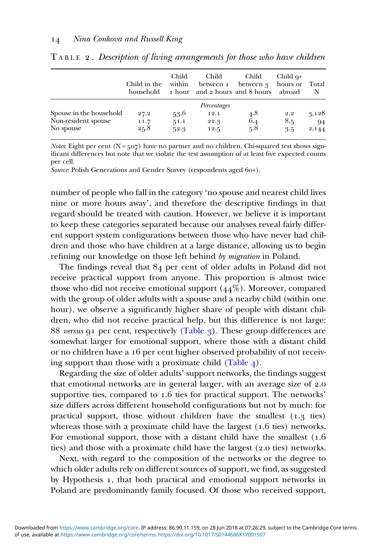|                         | Child in the<br>household | Child<br>within | Child<br>between 1<br>1 hour and 2 hours and 8 hours | Child<br>between 3 | Child $q+$<br>hours or<br>abroad | Total<br>N |
|-------------------------|---------------------------|-----------------|------------------------------------------------------|--------------------|----------------------------------|------------|
|                         |                           |                 | Percentages                                          |                    |                                  |            |
| Spouse in the household | 27.2                      | 53.6            | 12.1                                                 | 4.8                | 2.2                              | 3,128      |
| Non-resident spouse     | 11.7                      | 51.1            | 22.3                                                 | 6.4                | 8.5                              | 94         |
| No spouse               | 25.8                      | 52.3            | 12.5                                                 | 5.8                | 3.5                              | 2,144      |

<span id="page-13-0"></span>T ABLE . Description of living arrangements for those who have children

*Notes*: Eight per cent  $(N = 507)$  have no partner and no children. Chi-squared test shows significant differences but note that we violate the test assumption of at least five expected counts per cell.

Source: Polish Generations and Gender Survey (respondents aged 60+).

number of people who fall in the category 'no spouse and nearest child lives nine or more hours away', and therefore the descriptive findings in that regard should be treated with caution. However, we believe it is important to keep these categories separated because our analyses reveal fairly different support system configurations between those who have never had children and those who have children at a large distance, allowing us to begin refining our knowledge on those left behind by migration in Poland.

The findings reveal that  $84$  per cent of older adults in Poland did not receive practical support from anyone. This proportion is almost twice those who did not receive emotional support  $(44\%)$ . Moreover, compared with the group of older adults with a spouse and a nearby child (within one hour), we observe a significantly higher share of people with distant children, who did not receive practical help, but this difference is not large: 88 versus 91 per cent, respectively [\(Table](#page-14-0)  $_3$ ). These group differences are somewhat larger for emotional support, where those with a distant child or no children have a 16 per cent higher observed probability of not receiving support than those with a proximate child  $(Table 4)$  $(Table 4)$ .

Regarding the size of older adults' support networks, the findings suggest that emotional networks are in general larger, with an average size of 2.0 supportive ties, compared to 1.6 ties for practical support. The networks' size differs across different household configurations but not by much: for practical support, those without children have the smallest  $(1.3 \text{ ties})$ whereas those with a proximate child have the largest  $(1.6$  ties) networks. For emotional support, those with a distant child have the smallest  $(1.6)$ ties) and those with a proximate child have the largest (2.0 ties) networks.

Next, with regard to the composition of the networks or the degree to which older adults rely on different sources of support, we find, as suggested by Hypothesis 1, that both practical and emotional support networks in Poland are predominantly family focused. Of those who received support,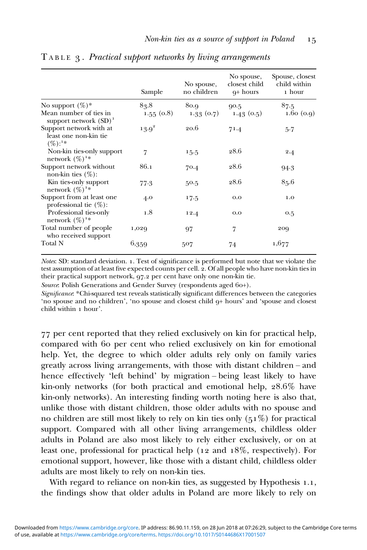|                                                                 | Sample     | No spouse,<br>no children | No spouse,<br>closest child<br>$q+$ hours | Spouse, closest<br>child within<br>1 hour |
|-----------------------------------------------------------------|------------|---------------------------|-------------------------------------------|-------------------------------------------|
| No support $(\%)^*$                                             | 82.8       | 80.9                      | 90.5                                      | 87.5                                      |
| Mean number of ties in<br>support network $(SD)^1$              | 1.55(0.8)  | 1.33(0.7)                 | 1.43(0.5)                                 | 1.60(0.9)                                 |
| Support network with at<br>least one non-kin tie<br>$(\%)^{1*}$ | $13.9^{2}$ | 20.6                      | 71.4                                      | 5.7                                       |
| Non-kin ties-only support<br>network $(\%)^{1*}$                | 7          | 15.5                      | 28.6                                      | 2.4                                       |
| Support network without<br>non-kin ties $(\%)$ :                | 86.1       | 70.4                      | 28.6                                      | 94.3                                      |
| Kin ties-only support<br>network $(\%)^{1*}$                    | 77.3       | 50.5                      | 28.6                                      | 85.6                                      |
| Support from at least one<br>professional tie $(\%)$ :          | 4.0        | 17.5                      | 0.0                                       | 1.0                                       |
| Professional ties-only<br>network $(\%)^{1*}$                   | 1.8        | 12.4                      | 0.0                                       | 0.5                                       |
| Total number of people<br>who received support                  | 1,029      | 97                        | 7                                         | 209                                       |
| <b>Total N</b>                                                  | 6,359      | 507                       | 74                                        | 1,677                                     |

<span id="page-14-0"></span> $T$ ABLE  $_3$ . Practical support networks by living arrangements

Notes: SD: standard deviation. . Test of significance is performed but note that we violate the test assumption of at least five expected counts per cell. 2. Of all people who have non-kin ties in their practical support network, 97.2 per cent have only one non-kin tie.

Source: Polish Generations and Gender Survey (respondents aged 60+).

Significance: \*Chi-squared test reveals statistically significant differences between the categories 'no spouse and no children', 'no spouse and closest child  $q+$  hours' and 'spouse and closest child within 1 hour'.

 per cent reported that they relied exclusively on kin for practical help, compared with 60 per cent who relied exclusively on kin for emotional help. Yet, the degree to which older adults rely only on family varies greatly across living arrangements, with those with distant children – and hence effectively 'left behind' by migration – being least likely to have kin-only networks (for both practical and emotional help,  $28.6\%$  have kin-only networks). An interesting finding worth noting here is also that, unlike those with distant children, those older adults with no spouse and no children are still most likely to rely on kin ties only  $(51\%)$  for practical support. Compared with all other living arrangements, childless older adults in Poland are also most likely to rely either exclusively, or on at least one, professional for practical help ( $12$  and  $18\%$ , respectively). For emotional support, however, like those with a distant child, childless older adults are most likely to rely on non-kin ties.

With regard to reliance on non-kin ties, as suggested by Hypothesis 1.1, the findings show that older adults in Poland are more likely to rely on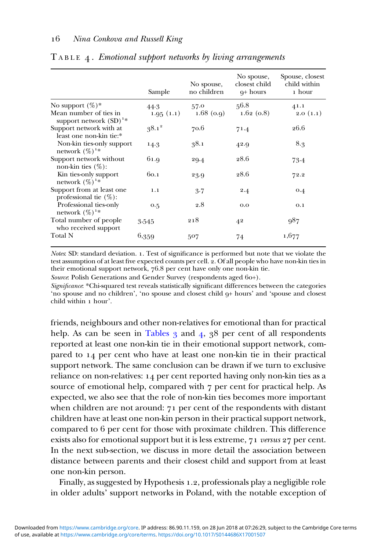|                                                        | Sample    | No spouse,<br>no children | No spouse,<br>closest child<br>$q+$ hours | Spouse, closest<br>child within<br>1 hour |
|--------------------------------------------------------|-----------|---------------------------|-------------------------------------------|-------------------------------------------|
| No support $(\%)^*$                                    | 44.3      | 57.0                      | 56.8                                      | 41.1                                      |
| Mean number of ties in<br>support network $(SD)^{1*}$  | 1.95(1.1) | $1.68$ (0.9)              | 1.62(0.8)                                 | 2.0(1.1)                                  |
| Support network with at<br>least one non-kin tie:*     | $38.1^2$  | 70.6                      | 71.4                                      | 26.6                                      |
| Non-kin ties-only support<br>network $(\%)^{1*}$       | 14.3      | 38.1                      | 42.9                                      | 8.3                                       |
| Support network without<br>non-kin ties $(\%):$        | 61.9      | 29.4                      | 28.6                                      | $73-4$                                    |
| Kin ties-only support<br>network $(\%)^{1*}$           | 60.1      | 23.9                      | 28.6                                      | 72.2                                      |
| Support from at least one<br>professional tie $(\%)$ : | 1.1       | 3.7                       | 2.4                                       | 0.4                                       |
| Professional ties-only<br>network $(\%)^{1*}$          | 0.5       | 2.8                       | 0.0                                       | 0.1                                       |
| Total number of people<br>who received support         | 3,545     | 218                       | 42                                        | 987                                       |
| Total N                                                | 6,359     | 507                       | 74                                        | 1,677                                     |

## <span id="page-15-0"></span> $T$ ABLE 4. *Emotional support networks by living arrangements*

Notes: SD: standard deviation. . Test of significance is performed but note that we violate the test assumption of at least five expected counts per cell. 2. Of all people who have non-kin ties in their emotional support network,  $76.8$  per cent have only one non-kin tie.

Source: Polish Generations and Gender Survey (respondents aged 60+).

Significance: \*Chi-squared test reveals statistically significant differences between the categories 'no spouse and no children', 'no spouse and closest child  $q+$  hours' and 'spouse and closest child within 1 hour'.

friends, neighbours and other non-relatives for emotional than for practical help. As can be seen in [Tables](#page-14-0)  $3$  and  $4$ ,  $38$  per cent of all respondents reported at least one non-kin tie in their emotional support network, compared to  $14$  per cent who have at least one non-kin tie in their practical support network. The same conclusion can be drawn if we turn to exclusive reliance on non-relatives:  $14$  per cent reported having only non-kin ties as a source of emotional help, compared with  $7$  per cent for practical help. As expected, we also see that the role of non-kin ties becomes more important when children are not around:  $71$  per cent of the respondents with distant children have at least one non-kin person in their practical support network, compared to 6 per cent for those with proximate children. This difference exists also for emotional support but it is less extreme,  $71$  versus  $27$  per cent. In the next sub-section, we discuss in more detail the association between distance between parents and their closest child and support from at least one non-kin person.

Finally, as suggested by Hypothesis 1.2, professionals play a negligible role in older adults' support networks in Poland, with the notable exception of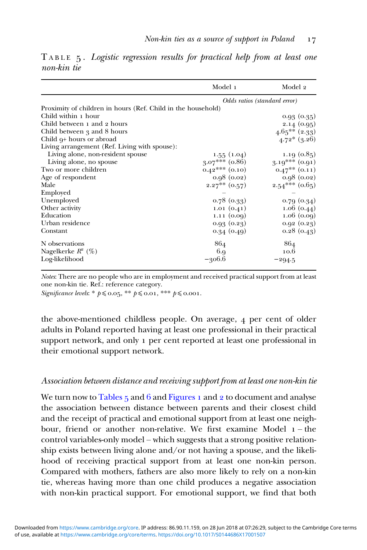|                                                              | Model 1          | Model 2                      |
|--------------------------------------------------------------|------------------|------------------------------|
|                                                              |                  | Odds ratios (standard error) |
| Proximity of children in hours (Ref. Child in the household) |                  |                              |
| Child within 1 hour                                          |                  | 0.93(0.35)                   |
| Child between 1 and 2 hours                                  |                  | 2.14(0.95)                   |
| Child between 3 and 8 hours                                  |                  | $4.65***$ (2.33)             |
| Child 9+ hours or abroad                                     |                  | $4.72*(3.26)$                |
| Living arrangement (Ref. Living with spouse):                |                  |                              |
| Living alone, non-resident spouse                            | 1.55(1.04)       | 1.19 $(0.85)$                |
| Living alone, no spouse                                      | $2.07***$ (0.86) | $3.19***$ (0.91)             |
| Two or more children                                         | $0.42***$ (0.10) | $0.47***$ (0.11)             |
| Age of respondent                                            | 0.08(0.02)       | 0.08(0.02)                   |
| Male                                                         | $2.27**$ (0.57)  | $2.54***$ (0.65)             |
| Employed                                                     |                  |                              |
| Unemployed                                                   | 0.78(0.33)       | 0.79(0.34)                   |
| Other activity                                               | 1.01(0.41)       | 1.06(0.44)                   |
| Education                                                    | 1.11(0.09)       | 1.06(0.09)                   |
| Urban residence                                              | 0.93(0.23)       | 0.02(0.23)                   |
| Constant                                                     | 0.34(0.49)       | 0.28(0.43)                   |
| N observations                                               | 864              | 864                          |
| Nagelkerke $R^2$ (%)                                         | 6q               | 10.6                         |
| Log-likelihood                                               | $-306.6$         | $-294.5$                     |

<span id="page-16-0"></span>TABLE  $\overline{5}$ . Logistic regression results for practical help from at least one non-kin tie

Notes: There are no people who are in employment and received practical support from at least one non-kin tie. Ref.: reference category.

Significance levels: \*  $p \le 0.05$ , \*\*  $p \le 0.01$ , \*\*\*  $p \le 0.001$ .

the above-mentioned childless people. On average, 4 per cent of older adults in Poland reported having at least one professional in their practical support network, and only 1 per cent reported at least one professional in their emotional support network.

## Association between distance and receiving support from at least one non-kin tie

We turn now to Tables  $5$  and  $6$  and [Figures](#page-10-0) 1 and  $2$  to document and analyse the association between distance between parents and their closest child and the receipt of practical and emotional support from at least one neighbour, friend or another non-relative. We first examine Model  $1$  – the control variables-only model – which suggests that a strong positive relationship exists between living alone and/or not having a spouse, and the likelihood of receiving practical support from at least one non-kin person. Compared with mothers, fathers are also more likely to rely on a non-kin tie, whereas having more than one child produces a negative association with non-kin practical support. For emotional support, we find that both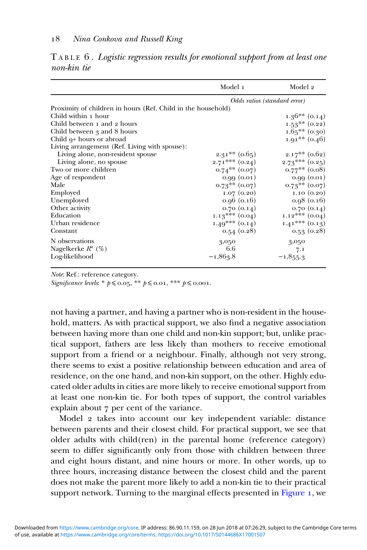|                                                              | Model 1            | Model 2                      |  |  |
|--------------------------------------------------------------|--------------------|------------------------------|--|--|
|                                                              |                    | Odds ratios (standard error) |  |  |
| Proximity of children in hours (Ref. Child in the household) |                    |                              |  |  |
| Child within 1 hour                                          |                    | $1.36**$ (0.14)              |  |  |
| Child between 1 and 2 hours                                  |                    | $1.53***$ $(0.22)$           |  |  |
| Child between 3 and 8 hours                                  |                    | $1.65***$ (0.30)             |  |  |
| Child 9+ hours or abroad                                     |                    | $1.91**$ (0.46)              |  |  |
| Living arrangement (Ref. Living with spouse):                |                    |                              |  |  |
| Living alone, non-resident spouse                            | $2.31**$ (0.65)    | $2.17***$ (0.62)             |  |  |
| Living alone, no spouse                                      | $2.71***$ (0.24)   | $2.73***$ $(0.25)$           |  |  |
| Two or more children                                         | $0.74***$ $(0.07)$ | $0.77***$ (0.08)             |  |  |
| Age of respondent                                            | 0.99(0.01)         | 0.09(0.01)                   |  |  |
| Male                                                         | $0.73***$ $(0.07)$ | $0.73***$ $(0.07)$           |  |  |
| Employed                                                     | 1.07(0.20)         | 1.10(0.20)                   |  |  |
| Unemployed                                                   | 0.96(0.16)         | 0.08(0.16)                   |  |  |
| Other activity                                               | 0.70(0.14)         | 0.70(0.14)                   |  |  |
| Education                                                    | $1.13***$ $(0.04)$ | $1.12***$ $(0.04)$           |  |  |
| Urban residence                                              | $1.49***$ (0.14)   | $1.41***$ (0.13)             |  |  |
| Constant                                                     | 0.54(0.28)         | 0.53(0.28)                   |  |  |
| N observations                                               | 3,050              | 3,050                        |  |  |
| Nagelkerke $R^2$ (%)                                         | 6.6                | 7.1                          |  |  |
| Log-likelihood                                               | $-1,863.8$         | $-1,855.3$                   |  |  |

<span id="page-17-0"></span> $T$ ABLE  $6$ . Logistic regression results for emotional support from at least one non-kin tie

Note: Ref.: reference category.

Significance levels: \*  $p \le 0.05$ , \*\*  $p \le 0.01$ , \*\*\*  $p \le 0.001$ .

not having a partner, and having a partner who is non-resident in the household, matters. As with practical support, we also find a negative association between having more than one child and non-kin support; but, unlike practical support, fathers are less likely than mothers to receive emotional support from a friend or a neighbour. Finally, although not very strong, there seems to exist a positive relationship between education and area of residence, on the one hand, and non-kin support, on the other. Highly educated older adults in cities are more likely to receive emotional support from at least one non-kin tie. For both types of support, the control variables explain about 7 per cent of the variance.

Model 2 takes into account our key independent variable: distance between parents and their closest child. For practical support, we see that older adults with child(ren) in the parental home (reference category) seem to differ significantly only from those with children between three and eight hours distant, and nine hours or more. In other words, up to three hours, increasing distance between the closest child and the parent does not make the parent more likely to add a non-kin tie to their practical support network. Turning to the marginal effects presented in [Figure](#page-10-0) 1, we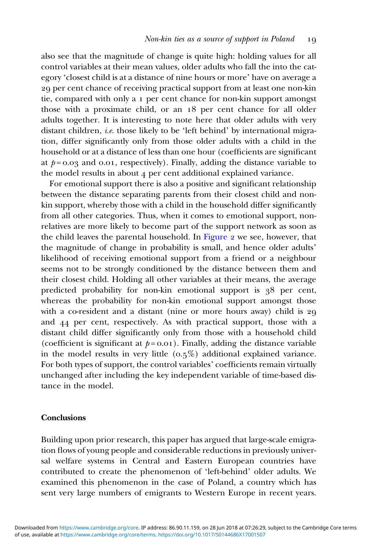also see that the magnitude of change is quite high: holding values for all control variables at their mean values, older adults who fall the into the category 'closest child is at a distance of nine hours or more' have on average a 29 per cent chance of receiving practical support from at least one non-kin tie, compared with only a 1 per cent chance for non-kin support amongst those with a proximate child, or an 18 per cent chance for all older adults together. It is interesting to note here that older adults with very distant children, i.e. those likely to be 'left behind' by international migration, differ significantly only from those older adults with a child in the household or at a distance of less than one hour (coefficients are significant at  $p = 0.03$  and  $0.01$ , respectively). Finally, adding the distance variable to the model results in about  $4$  per cent additional explained variance.

For emotional support there is also a positive and significant relationship between the distance separating parents from their closest child and nonkin support, whereby those with a child in the household differ significantly from all other categories. Thus, when it comes to emotional support, nonrelatives are more likely to become part of the support network as soon as the child leaves the parental household. In [Figure](#page-10-0)  $\alpha$  we see, however, that the magnitude of change in probability is small, and hence older adults' likelihood of receiving emotional support from a friend or a neighbour seems not to be strongly conditioned by the distance between them and their closest child. Holding all other variables at their means, the average predicted probability for non-kin emotional support is  $38$  per cent, whereas the probability for non-kin emotional support amongst those with a co-resident and a distant (nine or more hours away) child is 29 and 44 per cent, respectively. As with practical support, those with a distant child differ significantly only from those with a household child (coefficient is significant at  $p = 0.01$ ). Finally, adding the distance variable in the model results in very little  $(0.5\%)$  additional explained variance. For both types of support, the control variables' coefficients remain virtually unchanged after including the key independent variable of time-based distance in the model.

#### **Conclusions**

Building upon prior research, this paper has argued that large-scale emigration flows of young people and considerable reductions in previously universal welfare systems in Central and Eastern European countries have contributed to create the phenomenon of 'left-behind' older adults. We examined this phenomenon in the case of Poland, a country which has sent very large numbers of emigrants to Western Europe in recent years.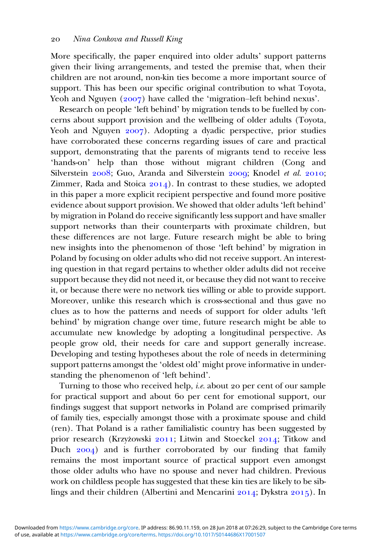More specifically, the paper enquired into older adults' support patterns given their living arrangements, and tested the premise that, when their children are not around, non-kin ties become a more important source of support. This has been our specific original contribution to what Toyota, Yeoh and Nguyen  $(2007)$  have called the 'migration–left behind nexus'.

Research on people 'left behind' by migration tends to be fuelled by concerns about support provision and the wellbeing of older adults (Toyota, Yeoh and Nguyen 2007). Adopting a dyadic perspective, prior studies have corroborated these concerns regarding issues of care and practical support, demonstrating that the parents of migrants tend to receive less 'hands-on' help than those without migrant children (Cong and Silverstein 2008; Guo, Aranda and Silverstein 2009; Knodel et al. 2010; Zimmer, Rada and Stoica  $2014$ ). In contrast to these studies, we adopted in this paper a more explicit recipient perspective and found more positive evidence about support provision. We showed that older adults 'left behind' by migration in Poland do receive significantly less support and have smaller support networks than their counterparts with proximate children, but these differences are not large. Future research might be able to bring new insights into the phenomenon of those 'left behind' by migration in Poland by focusing on older adults who did not receive support. An interesting question in that regard pertains to whether older adults did not receive support because they did not need it, or because they did not want to receive it, or because there were no network ties willing or able to provide support. Moreover, unlike this research which is cross-sectional and thus gave no clues as to how the patterns and needs of support for older adults 'left behind' by migration change over time, future research might be able to accumulate new knowledge by adopting a longitudinal perspective. As people grow old, their needs for care and support generally increase. Developing and testing hypotheses about the role of needs in determining support patterns amongst the 'oldest old' might prove informative in understanding the phenomenon of 'left behind'.

Turning to those who received help, *i.e.* about 20 per cent of our sample for practical support and about 60 per cent for emotional support, our findings suggest that support networks in Poland are comprised primarily of family ties, especially amongst those with a proximate spouse and child (ren). That Poland is a rather familialistic country has been suggested by prior research (Krzyżowski 2011; Litwin and Stoeckel 2014; Titkow and Duch  $2004$ ) and is further corroborated by our finding that family remains the most important source of practical support even amongst those older adults who have no spouse and never had children. Previous work on childless people has suggested that these kin ties are likely to be siblings and their children (Albertini and Mencarini  $2014$ ; Dykstra  $2015$ ). In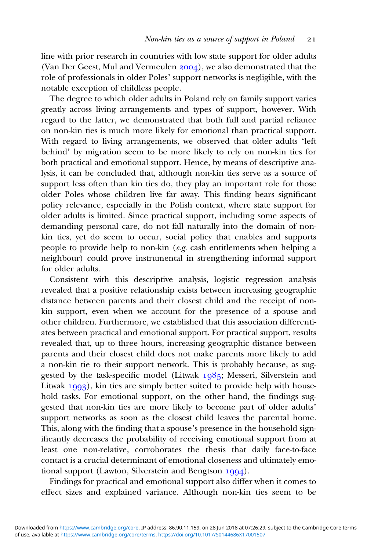line with prior research in countries with low state support for older adults (Van Der Geest, Mul and Vermeulen  $2004$ ), we also demonstrated that the role of professionals in older Poles' support networks is negligible, with the notable exception of childless people.

The degree to which older adults in Poland rely on family support varies greatly across living arrangements and types of support, however. With regard to the latter, we demonstrated that both full and partial reliance on non-kin ties is much more likely for emotional than practical support. With regard to living arrangements, we observed that older adults 'left behind' by migration seem to be more likely to rely on non-kin ties for both practical and emotional support. Hence, by means of descriptive analysis, it can be concluded that, although non-kin ties serve as a source of support less often than kin ties do, they play an important role for those older Poles whose children live far away. This finding bears significant policy relevance, especially in the Polish context, where state support for older adults is limited. Since practical support, including some aspects of demanding personal care, do not fall naturally into the domain of nonkin ties, yet do seem to occur, social policy that enables and supports people to provide help to non-kin (e.g. cash entitlements when helping a neighbour) could prove instrumental in strengthening informal support for older adults.

Consistent with this descriptive analysis, logistic regression analysis revealed that a positive relationship exists between increasing geographic distance between parents and their closest child and the receipt of nonkin support, even when we account for the presence of a spouse and other children. Furthermore, we established that this association differentiates between practical and emotional support. For practical support, results revealed that, up to three hours, increasing geographic distance between parents and their closest child does not make parents more likely to add a non-kin tie to their support network. This is probably because, as suggested by the task-specific model (Litwak  $1085$ ; Messeri, Silverstein and Litwak  $1993$ , kin ties are simply better suited to provide help with household tasks. For emotional support, on the other hand, the findings suggested that non-kin ties are more likely to become part of older adults' support networks as soon as the closest child leaves the parental home. This, along with the finding that a spouse's presence in the household significantly decreases the probability of receiving emotional support from at least one non-relative, corroborates the thesis that daily face-to-face contact is a crucial determinant of emotional closeness and ultimately emotional support (Lawton, Silverstein and Bengtson  $1994$ ).

Findings for practical and emotional support also differ when it comes to effect sizes and explained variance. Although non-kin ties seem to be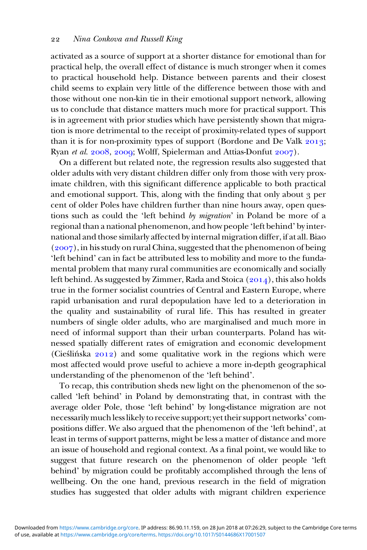activated as a source of support at a shorter distance for emotional than for practical help, the overall effect of distance is much stronger when it comes to practical household help. Distance between parents and their closest child seems to explain very little of the difference between those with and those without one non-kin tie in their emotional support network, allowing us to conclude that distance matters much more for practical support. This is in agreement with prior studies which have persistently shown that migration is more detrimental to the receipt of proximity-related types of support than it is for non-proximity types of support (Bordone and De Valk  $2013$ ; Ryan et al. 2008, 2009; Wolff, Spielerman and Attias-Donfut 2007).

On a different but related note, the regression results also suggested that older adults with very distant children differ only from those with very proximate children, with this significant difference applicable to both practical and emotional support. This, along with the finding that only about 3 per cent of older Poles have children further than nine hours away, open questions such as could the 'left behind by migration' in Poland be more of a regional than a national phenomenon, and how people 'left behind' by international and those similarly affected by internal migration differ, if at all. Biao  $(2007)$ , in his study on rural China, suggested that the phenomenon of being 'left behind' can in fact be attributed less to mobility and more to the fundamental problem that many rural communities are economically and socially left behind. As suggested by Zimmer, Rada and Stoica  $(2014)$ , this also holds true in the former socialist countries of Central and Eastern Europe, where rapid urbanisation and rural depopulation have led to a deterioration in the quality and sustainability of rural life. This has resulted in greater numbers of single older adults, who are marginalised and much more in need of informal support than their urban counterparts. Poland has witnessed spatially different rates of emigration and economic development (Cieślińska  $2012$ ) and some qualitative work in the regions which were most affected would prove useful to achieve a more in-depth geographical understanding of the phenomenon of the 'left behind'.

To recap, this contribution sheds new light on the phenomenon of the socalled 'left behind' in Poland by demonstrating that, in contrast with the average older Pole, those 'left behind' by long-distance migration are not necessarily much less likely to receive support; yet their support networks' compositions differ. We also argued that the phenomenon of the 'left behind', at least in terms of support patterns, might be less a matter of distance and more an issue of household and regional context. As a final point, we would like to suggest that future research on the phenomenon of older people 'left behind' by migration could be profitably accomplished through the lens of wellbeing. On the one hand, previous research in the field of migration studies has suggested that older adults with migrant children experience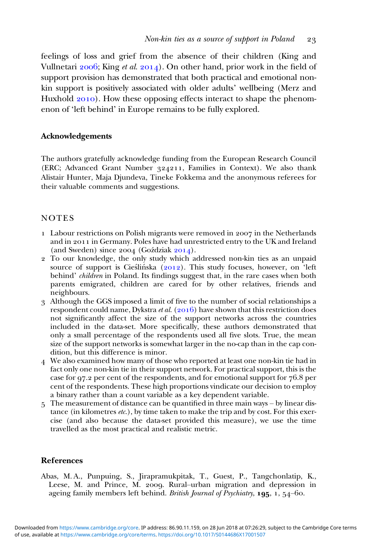<span id="page-22-0"></span>feelings of loss and grief from the absence of their children (King and Vullnetari  $2006$ ; King *et al.*  $2014$ ). On other hand, prior work in the field of support provision has demonstrated that both practical and emotional nonkin support is positively associated with older adults' wellbeing (Merz and Huxhold  $2010$ . How these opposing effects interact to shape the phenomenon of 'left behind' in Europe remains to be fully explored.

#### Acknowledgements

The authors gratefully acknowledge funding from the European Research Council (ERC; Advanced Grant Number 324211, Families in Context). We also thank Alistair Hunter, Maja Djundeva, Tineke Fokkema and the anonymous referees for their valuable comments and suggestions.

## **NOTES**

- 1 Labour restrictions on Polish migrants were removed in  $2007$  in the Netherlands and in 2011 in Germany. Poles have had unrestricted entry to the UK and Ireland (and Sweden) since  $2004$  (Gozdziak  $2014$ ).
- To our knowledge, the only study which addressed non-kin ties as an unpaid source of support is Cieslinska  $(2012)$ . This study focuses, however, on 'left behind' children in Poland. Its findings suggest that, in the rare cases when both parents emigrated, children are cared for by other relatives, friends and neighbours.
- Although the GGS imposed a limit of five to the number of social relationships a respondent could name, Dykstra et al.  $(2016)$  have shown that this restriction does not significantly affect the size of the support networks across the countries included in the data-set. More specifically, these authors demonstrated that only a small percentage of the respondents used all five slots. True, the mean size of the support networks is somewhat larger in the no-cap than in the cap condition, but this difference is minor.
- We also examined how many of those who reported at least one non-kin tie had in fact only one non-kin tie in their support network. For practical support, this is the case for  $97.2$  per cent of the respondents, and for emotional support for  $76.8$  per cent of the respondents. These high proportions vindicate our decision to employ a binary rather than a count variable as a key dependent variable.
- The measurement of distance can be quantified in three main ways by linear distance (in kilometres etc.), by time taken to make the trip and by cost. For this exercise (and also because the data-set provided this measure), we use the time travelled as the most practical and realistic metric.

## References

Abas, M. A., Punpuing, S., Jirapramukpitak, T., Guest, P., Tangchonlatip, K., Leese, M. and Prince, M. 2009. Rural–urban migration and depression in ageing family members left behind. British Journal of Psychiatry,  $195, 1, 54-60$ .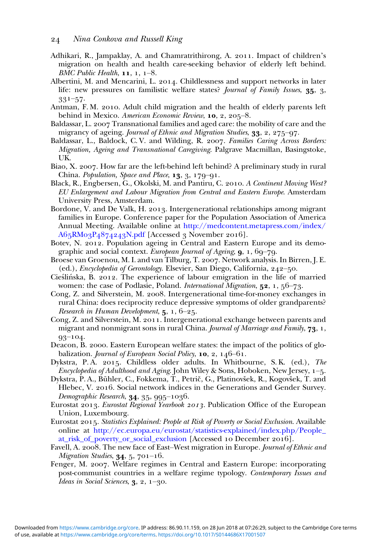- <span id="page-23-0"></span>Adhikari, R., Jampaklay, A. and Chamratrithirong, A. 2011. Impact of children's migration on health and health care-seeking behavior of elderly left behind. BMC Public Health,  $11, 1, 1-8$ .
- Albertini, M. and Mencarini, L. 2014. Childlessness and support networks in later life: new pressures on familistic welfare states? Journal of Family Issues,  $35, 3$ ,  $331 - 57$
- Antman, F.M. 2010. Adult child migration and the health of elderly parents left behind in Mexico. American Economic Review, 10, 2, 205-8.
- Baldassar, L.  $2007$  Transnational families and aged care: the mobility of care and the migrancy of ageing. Journal of Ethnic and Migration Studies, 33, 2, 275-97.
- Baldassar, L., Baldock, C.V. and Wilding, R. 2007. Families Caring Across Borders: Migration, Ageing and Transnational Caregiving. Palgrave Macmillan, Basingstoke, UK.
- Biao, X. 2007. How far are the left-behind left behind? A preliminary study in rural China. Population, Space and Place,  $13, 3, 179-91$ .
- Black, R., Engbersen, G., Okolski, M. and Pantiru, C. 2010. A Continent Moving West? EU Enlargement and Labour Migration from Central and Eastern Europe. Amsterdam University Press, Amsterdam.
- Bordone, V. and De Valk, H. 2013. Intergenerational relationships among migrant families in Europe. Conference paper for the Population Association of America Annual Meeting. Available online at [http://medcontent.metapress.com/index/](http://medcontent.metapress.com/index/A65RM03P4874243N.pdf) A65RM03P4874243N.pdf [Accessed 3 November 2016].
- Botev, N. 2012. Population ageing in Central and Eastern Europe and its demographic and social context. European Journal of Ageing,  $\mathbf{g}$ , 1, 69–79.
- Broese van Groenou, M. I. and van Tilburg, T. 2007. Network analysis. In Birren, J. E. (ed.),  $Encyclopedia of Genotology$ . Elsevier, San Diego, California,  $242-50$ .
- Ciesliní ska, B. 2012. The experience of labour emigration in the life of married women: the case of Podlasie, Poland. *International Migration*,  $\mathbf{52}$ , 1,  $56-73$ .
- Cong, Z. and Silverstein, M. 2008. Intergenerational time-for-money exchanges in rural China: does reciprocity reduce depressive symptoms of older grandparents? Research in Human Development,  $5, 1, 6-25$ .
- Cong, Z. and Silverstein, M. 2011. Intergenerational exchange between parents and migrant and nonmigrant sons in rural China. Journal of Marriage and Family,  $73, 1$ ,  $93 - 104.$
- Deacon, B. 2000. Eastern European welfare states: the impact of the politics of globalization. *Journal of European Social Policy*, **10**, 2, 146–61.
- Dykstra, P.A. 2015. Childless older adults. In Whitbourne, S.K. (ed.), The Encyclopedia of Adulthood and Aging. John Wiley & Sons, Hoboken, New Jersey,  $1-5$ .
- Dykstra, P. A., Bühler, C., Fokkema, T., Petrič, G., Platinovšek, R., Kogovšek, T. and Hlebec, V. 2016. Social network indices in the Generations and Gender Survey. Demographic Research,  $34, 35, 995 - 1036$ .
- Eurostat 2013. Eurostat Regional Yearbook 2013. Publication Office of the European Union, Luxembourg.
- Eurostat 2015. Statistics Explained: People at Risk of Poverty or Social Exclusion. Available online at [http://ec.europa.eu/eurostat/statistics-explained/index.php/People\\_](http://ec.europa.eu/eurostat/statistics-explained/index.php/People_at_risk_of_poverty_or_social_exclusion) [at\\_risk\\_of\\_poverty\\_or\\_social\\_exclusion](http://ec.europa.eu/eurostat/statistics-explained/index.php/People_at_risk_of_poverty_or_social_exclusion) [Accessed 10 December 2016].
- Favell, A. 2008. The new face of East–West migration in Europe. Journal of Ethnic and Migration Studies,  $34, 5, 701-16$ .
- Fenger, M. 2007. Welfare regimes in Central and Eastern Europe: incorporating post-communist countries in a welfare regime typology. Contemporary Issues and Ideas in Social Sciences,  $3, 2, 1-30$ .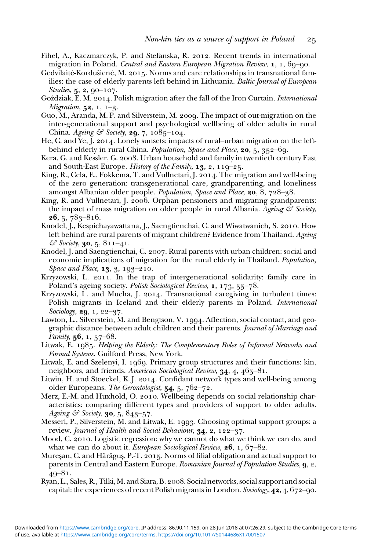- <span id="page-24-0"></span>Fihel, A., Kaczmarczyk, P. and Stefanska, R. 2012. Recent trends in international migration in Poland. Central and Eastern European Migration Review, 1, 1, 69-90.
- Gedvilaite-Kordušiene, M. 2015. Norms and care relationships in transnational families: the case of elderly parents left behind in Lithuania. Baltic Journal of European Studies,  $5, 2, 90-107$ .
- Goździak, E. M. 2014. Polish migration after the fall of the Iron Curtain. International Migration,  $52, 1, 1-3$ .
- Guo, M., Aranda, M. P. and Silverstein, M. 2009. The impact of out-migration on the inter-generational support and psychological wellbeing of older adults in rural China. Ageing  $\mathcal{C}$  Society, **29**, 7, 1085-104.
- He, C. and Ye, J. 2014. Lonely sunsets: impacts of rural-urban migration on the leftbehind elderly in rural China. *Population, Space and Place*, **20**,  $5$ ,  $352-69$ .
- Kera, G. and Kessler, G. 2008. Urban household and family in twentieth century East and South-East Europe. History of the Family,  $13, 2, 119-25$ .
- King, R., Cela, E., Fokkema, T. and Vullnetari, J. 2014. The migration and well-being of the zero generation: transgenerational care, grandparenting, and loneliness amongst Albanian older people. Population, Space and Place,  $20, 8, 728-38$ .
- King, R. and Vullnetari, J. 2006. Orphan pensioners and migrating grandparents: the impact of mass migration on older people in rural Albania. Ageing  $\mathcal{F}$  Society,  $26, 5, 783 - 816.$
- Knodel, J., Kespichayawattana, J., Saengtienchai, C. and Wiwatwanich, S. 2010. How left behind are rural parents of migrant children? Evidence from Thailand. Ageing  $\mathcal{F}$  Society, **30**, 5, 811-41.
- Knodel, J. and Saengtienchai, C. 2007. Rural parents with urban children: social and economic implications of migration for the rural elderly in Thailand. Population, Space and Place,  $13, 3, 193-210$ .
- Krzyzowski, L. 2011. In the trap of intergenerational solidarity: family care in Poland's ageing society. Polish Sociological Review,  $1, 173, 55-78$ .
- Krzyzowski, L. and Mucha, J. 2014. Transnational caregiving in turbulent times: Polish migrants in Iceland and their elderly parents in Poland. International Sociology, **29**, 1, 22-37.
- Lawton, L., Silverstein, M. and Bengtson, V. 1994. Affection, social contact, and geographic distance between adult children and their parents. Journal of Marriage and Family,  $56, 1, 57-68$ .
- Litwak, E. 1985. Helping the Elderly: The Complementary Roles of Informal Networks and Formal Systems. Guilford Press, New York.
- Litwak, E. and Szelenyi, I. 1969. Primary group structures and their functions: kin, neighbors, and friends. American Sociological Review, 34, 4, 465-81.
- Litwin, H. and Stoeckel, K. J. 2014. Confidant network types and well-being among older Europeans. The Gerontologist,  $54, 5, 762-72$ .
- Merz, E.-M. and Huxhold, O. 2010. Wellbeing depends on social relationship characteristics: comparing different types and providers of support to older adults. Ageing  $\mathcal{F}$  Society, **30**, 5, 843–57.
- Messeri, P., Silverstein, M. and Litwak, E. 1993. Choosing optimal support groups: a review. Journal of Health and Social Behaviour,  $34, 2, 122-37$ .
- Mood, C. 2010. Logistic regression: why we cannot do what we think we can do, and what we can do about it. European Sociological Review,  $26$ , 1,  $67-82$ .
- Muresan, C. and Hărăgus, P.-T. 2015. Norms of filial obligation and actual support to parents in Central and Eastern Europe. Romanian Journal of Population Studies,  $q$ , 2,  $49 - 81.$
- Ryan, L., Sales, R., Tilki, M. and Siara, B. 2008. Social networks, social support and social capital: the experiences of recent Polish migrants in London. Sociology,  $\overline{42}$ ,  $\overline{4}$ ,  $\overline{672}$ -qo.